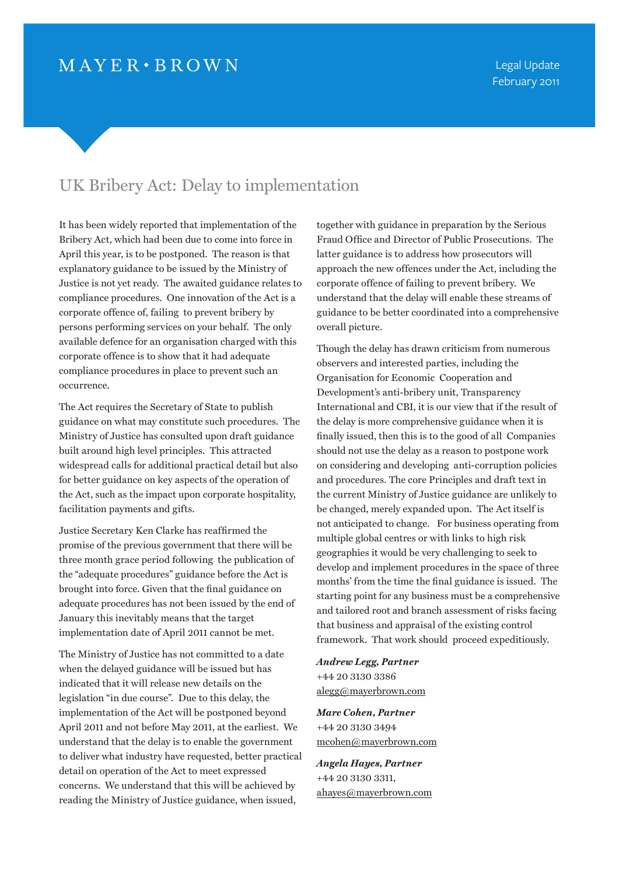## UK Bribery Act: Delay to implementation

It has been widely reported that implementation of the Bribery Act, which had been due to come into force in April this year, is to be postponed. The reason is that explanatory guidance to be issued by the Ministry of Justice is not yet ready. The awaited guidance relates to compliance procedures. One innovation of the Act is a corporate offence of, failing to prevent bribery by persons performing services on your behalf. The only available defence for an organisation charged with this corporate offence is to show that it had adequate compliance procedures in place to prevent such an occurrence.

The Act requires the Secretary of State to publish guidance on what may constitute such procedures. The Ministry of Justice has consulted upon draft guidance built around high level principles. This attracted widespread calls for additional practical detail but also for better guidance on key aspects of the operation of the Act, such as the impact upon corporate hospitality, facilitation payments and gifts.

Justice Secretary Ken Clarke has reaffirmed the promise of the previous government that there will be three month grace period following the publication of the "adequate procedures" guidance before the Act is brought into force. Given that the final guidance on adequate procedures has not been issued by the end of January this inevitably means that the target implementation date of April 2011 cannot be met.

The Ministry of Justice has not committed to a date when the delayed guidance will be issued but has indicated that it will release new details on the legislation "in due course". Due to this delay, the implementation of the Act will be postponed beyond April 2011 and not before May 2011, at the earliest. We understand that the delay is to enable the government to deliver what industry have requested, better practical detail on operation of the Act to meet expressed concerns. We understand that this will be achieved by reading the Ministry of Justice guidance, when issued,

together with guidance in preparation by the Serious Fraud Office and Director of Public Prosecutions. The latter guidance is to address how prosecutors will approach the new offences under the Act, including the corporate offence of failing to prevent bribery. We understand that the delay will enable these streams of guidance to be better coordinated into a comprehensive overall picture.

Though the delay has drawn criticism from numerous observers and interested parties, including the Organisation for Economic Cooperation and Development's anti-bribery unit, Transparency International and CBI, it is our view that if the result of the delay is more comprehensive guidance when it is finally issued, then this is to the good of all Companies should not use the delay as a reason to postpone work on considering and developing anti-corruption policies and procedures. The core Principles and draft text in the current Ministry of Justice guidance are unlikely to be changed, merely expanded upon. The Act itself is not anticipated to change. For business operating from multiple global centres or with links to high risk geographies it would be very challenging to seek to develop and implement procedures in the space of three months' from the time the final guidance is issued. The starting point for any business must be a comprehensive and tailored root and branch assessment of risks facing that business and appraisal of the existing control framework. That work should proceed expeditiously.

## *Andrew Legg, Partner* +44 20 3130 3386 [alegg@mayerbrown.com](mailto:alegg@mayerbrown.com)

*Marc Cohen, Partner* +44 20 3130 3494 [mcohen@mayerbrown.com](mailto:mcohen@mayerbrown.com)

*Angela Hayes, Partner* +44 20 3130 3311, [ahayes@mayerbrown.com](mailto:ahayes@mayerbrown.com)